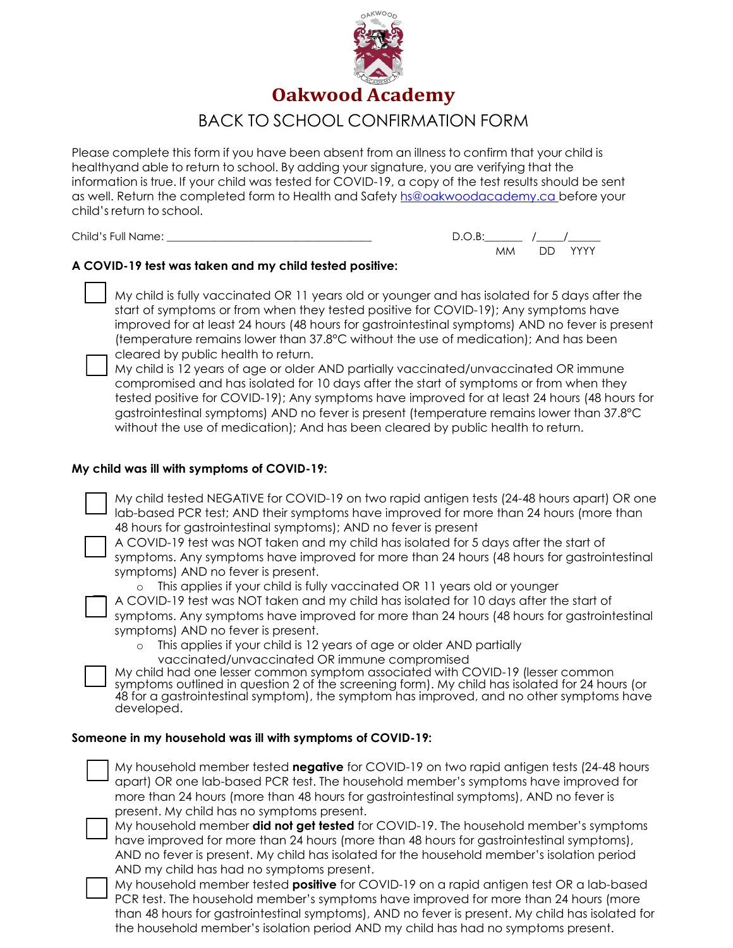

# BACK TO SCHOOL CONFIRMATION FORM

Please complete this form if you have been absent from an illness to confirm that your child is healthyand able to return to school. By adding your signature, you are verifying that the information is true. If your child was tested for COVID-19, a copy of the test results should be sent as well. Return the completed form to Health and Safety [hs@oakwoodacademy.ca b](mailto:hs@oakwoodacademy.ca)efore your child's return to school.

| Child's Full Name: | $D \cap R$ . |         |
|--------------------|--------------|---------|
|                    | МM           | DD YYYY |

## **A COVID-19 test was taken and my child tested positive:**

 My child is fully vaccinated OR 11 years old or younger and has isolated for 5 days after the start of symptoms or from when they tested positive for COVID-19); Any symptoms have improved for at least 24 hours (48 hours for gastrointestinal symptoms) AND no fever is present (temperature remains lower than 37.8°C without the use of medication); And has been cleared by public health to return.

 My child is 12 years of age or older AND partially vaccinated/unvaccinated OR immune compromised and has isolated for 10 days after the start of symptoms or from when they tested positive for COVID-19); Any symptoms have improved for at least 24 hours (48 hours for gastrointestinal symptoms) AND no fever is present (temperature remains lower than 37.8°C without the use of medication); And has been cleared by public health to return.

#### **My child was ill with symptoms of COVID-19:**

 My child tested NEGATIVE for COVID-19 on two rapid antigen tests (24-48 hours apart) OR one lab-based PCR test; AND their symptoms have improved for more than 24 hours (more than 48 hours for gastrointestinal symptoms); AND no fever is present



 A COVID-19 test was NOT taken and my child has isolated for 5 days after the start of symptoms. Any symptoms have improved for more than 24 hours (48 hours for gastrointestinal

symptoms) AND no fever is present.

o This applies if your child is fully vaccinated OR 11 years old or younger

A COVID-19 test was NOT taken and my child has isolated for 10 days after the start of

symptoms. Any symptoms have improved for more than 24 hours (48 hours for gastrointestinal symptoms) AND no fever is present.

o This applies if your child is 12 years of age or older AND partially vaccinated/unvaccinated OR immune compromised

 My child had one lesser common symptom associated with COVID-19 (lesser common symptoms outlined in question 2 of the screening form). My child has isolated for 24 hours (or 48 for a gastrointestinal symptom), the symptom has improved, and no other symptoms have developed.

#### **Someone in my household was ill with symptoms of COVID-19:**

 My household member tested **negative** for COVID-19 on two rapid antigen tests (24-48 hours apart) OR one lab-based PCR test. The household member's symptoms have improved for more than 24 hours (more than 48 hours for gastrointestinal symptoms), AND no fever is present. My child has no symptoms present.



 My household member **did not get tested** for COVID-19. The household member's symptoms have improved for more than 24 hours (more than 48 hours for gastrointestinal symptoms), AND no fever is present. My child has isolated for the household member's isolation period AND my child has had no symptoms present.



 My household member tested **positive** for COVID-19 on a rapid antigen test OR a lab-based PCR test. The household member's symptoms have improved for more than 24 hours (more than 48 hours for gastrointestinal symptoms), AND no fever is present. My child has isolated for the household member's isolation period AND my child has had no symptoms present.